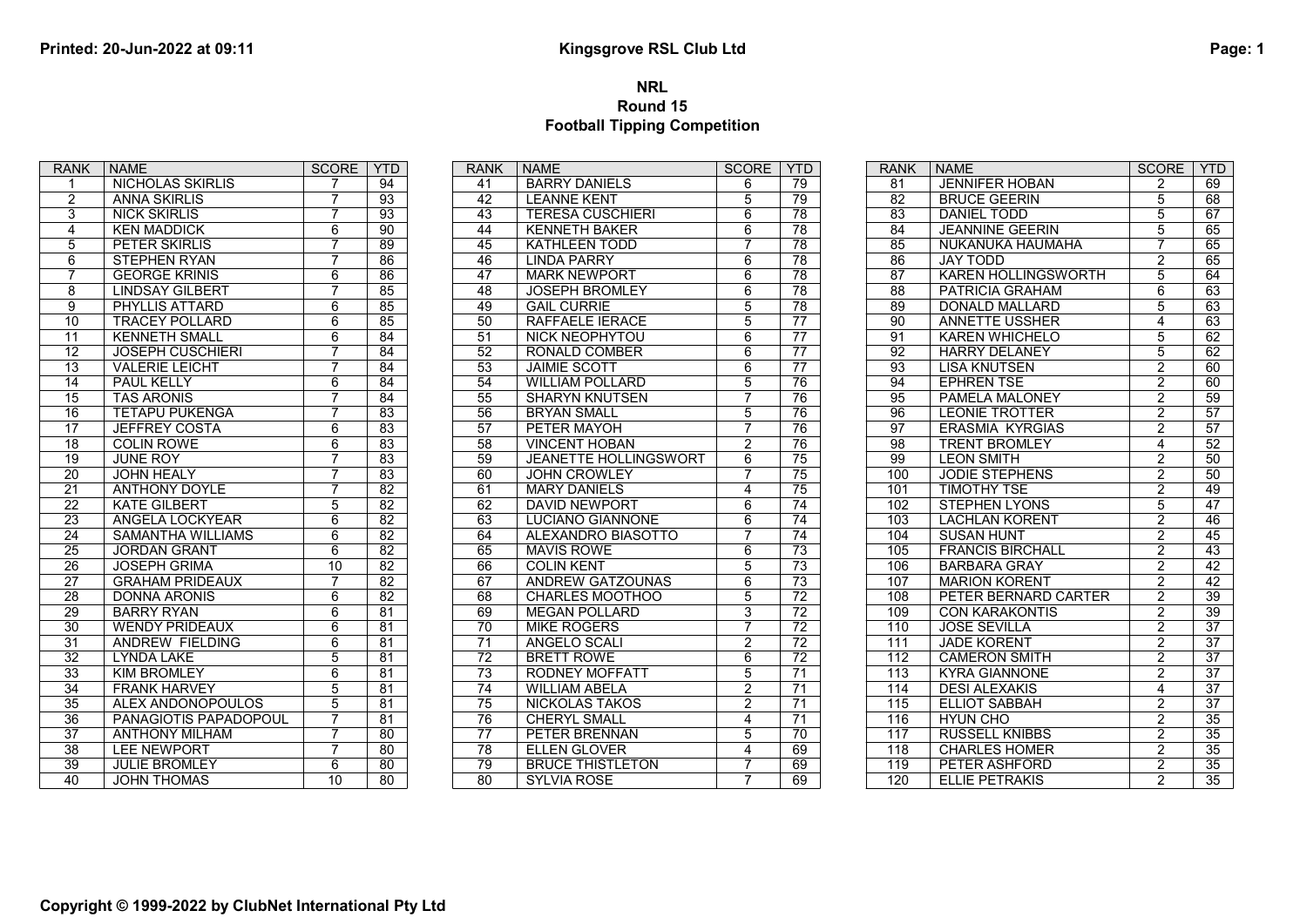## Page: 1

## Printed: 20-Jun-2022 at 09:11<br>Kingsgrove RSL Club Ltd<br>Round 15<br>Football Tipping Competition NRL Round 15 Football Tipping Competition

| <b>RANK</b>     | <b>NAME</b>             | <b>SCORE</b>   | <b>YTD</b>      | <b>RANK</b>     | <b>NAME</b>                  | <b>SCOF</b>     |
|-----------------|-------------------------|----------------|-----------------|-----------------|------------------------------|-----------------|
| 1               | NICHOLAS SKIRLIS        | 7              | 94              | 41              | <b>BARRY DANIELS</b>         | 6               |
| $\overline{2}$  | <b>ANNA SKIRLIS</b>     | 7              | 93              | 42              | <b>LEANNE KENT</b>           | $\overline{5}$  |
| $\overline{3}$  | <b>NICK SKIRLIS</b>     | $\overline{7}$ | $\overline{93}$ | $\overline{43}$ | <b>TERESA CUSCHIERI</b>      | $\overline{6}$  |
| 4               | <b>KEN MADDICK</b>      | 6              | $\overline{90}$ | 44              | <b>KENNETH BAKER</b>         | $\overline{6}$  |
| 5               | PETER SKIRLIS           | $\overline{7}$ | 89              | 45              | <b>KATHLEEN TODD</b>         | $\overline{7}$  |
| 6               | <b>STEPHEN RYAN</b>     | $\overline{7}$ | 86              | 46              | <b>LINDA PARRY</b>           | $\overline{6}$  |
| 7               | <b>GEORGE KRINIS</b>    | 6              | 86              | 47              | <b>MARK NEWPORT</b>          | 6               |
| 8               | <b>LINDSAY GILBERT</b>  | $\overline{7}$ | 85              | 48              | <b>JOSEPH BROMLEY</b>        | $6\overline{6}$ |
| $\overline{9}$  | PHYLLIS ATTARD          | 6              | 85              | 49              | <b>GAIL CURRIE</b>           | $\overline{5}$  |
| 10              | <b>TRACEY POLLARD</b>   | 6              | 85              | 50              | RAFFAELE IERACE              | $\overline{5}$  |
| 11              | <b>KENNETH SMALL</b>    | 6              | 84              | 51              | NICK NEOPHYTOU               | $\overline{6}$  |
| 12              | <b>JOSEPH CUSCHIERI</b> | $\overline{7}$ | 84              | 52              | <b>RONALD COMBER</b>         | $\overline{6}$  |
| 13              | <b>VALERIE LEICHT</b>   | 7              | 84              | 53              | <b>JAIMIE SCOTT</b>          | $\overline{6}$  |
| 14              | PAUL KELLY              | 6              | $\overline{84}$ | 54              | <b>WILLIAM POLLARD</b>       | $\overline{5}$  |
| $\overline{15}$ | <b>TAS ARONIS</b>       | $\overline{7}$ | $\overline{84}$ | 55              | <b>SHARYN KNUTSEN</b>        | $\overline{7}$  |
| 16              | <b>TETAPU PUKENGA</b>   | $\overline{7}$ | 83              | 56              | <b>BRYAN SMALL</b>           | $\overline{5}$  |
| $\overline{17}$ | <b>JEFFREY COSTA</b>    | 6              | $\overline{83}$ | 57              | PETER MAYOH                  | $\overline{7}$  |
| 18              | <b>COLIN ROWE</b>       | 6              | 83              | 58              | <b>VINCENT HOBAN</b>         | $\overline{2}$  |
| 19              | <b>JUNE ROY</b>         | 7              | 83              | 59              | <b>JEANETTE HOLLINGSWORT</b> | $\overline{6}$  |
| 20              | <b>JOHN HEALY</b>       | $\overline{7}$ | $\overline{83}$ | 60              | <b>JOHN CROWLEY</b>          | $\overline{7}$  |
| $\overline{21}$ | <b>ANTHONY DOYLE</b>    | $\overline{7}$ | $\overline{82}$ | 61              | <b>MARY DANIELS</b>          | $\overline{4}$  |
| $\overline{22}$ | <b>KATE GILBERT</b>     | $\overline{5}$ | $\overline{82}$ | 62              | <b>DAVID NEWPORT</b>         | $\overline{6}$  |
| 23              | ANGELA LOCKYEAR         | 6              | $\overline{82}$ | 63              | <b>LUCIANO GIANNONE</b>      | $\overline{6}$  |
| $\overline{24}$ | SAMANTHA WILLIAMS       | 6              | $\overline{82}$ | 64              | ALEXANDRO BIASOTTO           | $\overline{7}$  |
| 25              | <b>JORDAN GRANT</b>     | 6              | $\overline{82}$ | 65              | <b>MAVIS ROWE</b>            | $\overline{6}$  |
| 26              | <b>JOSEPH GRIMA</b>     | 10             | $\overline{82}$ | 66              | <b>COLIN KENT</b>            | $\overline{5}$  |
| $\overline{27}$ | <b>GRAHAM PRIDEAUX</b>  | $\overline{7}$ | $\overline{82}$ | 67              | <b>ANDREW GATZOUNAS</b>      | $\overline{6}$  |
| $\overline{28}$ | <b>DONNA ARONIS</b>     | 6              | $\overline{82}$ | 68              | <b>CHARLES MOOTHOO</b>       | $\overline{5}$  |
| 29              | <b>BARRY RYAN</b>       | 6              | 81              | 69              | <b>MEGAN POLLARD</b>         | $\overline{3}$  |
| 30              | <b>WENDY PRIDEAUX</b>   | 6              | 81              | 70              | <b>MIKE ROGERS</b>           | $\overline{7}$  |
| $\overline{31}$ | <b>ANDREW FIELDING</b>  | 6              | $\overline{81}$ | 71              | ANGELO SCALI                 | $\overline{2}$  |
| $\overline{32}$ | <b>LYNDA LAKE</b>       | $\overline{5}$ | $\overline{81}$ | $\overline{72}$ | <b>BRETT ROWE</b>            | $6\overline{6}$ |
| $\overline{33}$ | <b>KIM BROMLEY</b>      | $\overline{6}$ | $\overline{81}$ | $\overline{73}$ | <b>RODNEY MOFFATT</b>        | $\overline{5}$  |
| $\overline{34}$ | <b>FRANK HARVEY</b>     | $\overline{5}$ | $\overline{81}$ | $\overline{74}$ | <b>WILLIAM ABELA</b>         | $\overline{2}$  |
| $\overline{35}$ | ALEX ANDONOPOULOS       | 5              | $\overline{81}$ | $\overline{75}$ | <b>NICKOLAS TAKOS</b>        | $\overline{2}$  |
| 36              | PANAGIOTIS PAPADOPOUL   | $\overline{7}$ | 81              | 76              | <b>CHERYL SMALL</b>          | $\overline{4}$  |
| 37              | <b>ANTHONY MILHAM</b>   | $\overline{7}$ | 80              | 77              | PETER BRENNAN                | $\overline{5}$  |
| $\overline{38}$ | <b>LEE NEWPORT</b>      | $\overline{7}$ | $\overline{80}$ | 78              | <b>ELLEN GLOVER</b>          | $\overline{4}$  |
| $\overline{39}$ | <b>JULIE BROMLEY</b>    | 6              | $\overline{80}$ | 79              | <b>BRUCE THISTLETON</b>      | $\overline{7}$  |
| 40              | <b>JOHN THOMAS</b>      | 10             | 80              | 80              | <b>SYLVIA ROSE</b>           | $\overline{7}$  |

| <b>RANK</b>     | <b>NAME</b>             | <b>SCORE</b>   | <b>YTD</b>      | <b>RANK</b> | <b>NAME</b>                | <b>SCOF</b>    |
|-----------------|-------------------------|----------------|-----------------|-------------|----------------------------|----------------|
| 41              | <b>BARRY DANIELS</b>    | 6              | 79              | 81          | <b>JENNIFER HOBAN</b>      | $\overline{2}$ |
| 42              | <b>LEANNE KENT</b>      | 5              | 79              | 82          | <b>BRUCE GEERIN</b>        | $\overline{5}$ |
| $\overline{43}$ | <b>TERESA CUSCHIERI</b> | 6              | 78              | 83          | DANIEL TODD                | $\overline{5}$ |
| $\overline{44}$ | <b>KENNETH BAKER</b>    | 6              | $\overline{78}$ | 84          | <b>JEANNINE GEERIN</b>     | $\overline{5}$ |
| 45              | KATHLEEN TODD           | $\overline{7}$ | 78              | 85          | NUKANUKA HAUMAHA           | $\overline{7}$ |
| 46              | <b>LINDA PARRY</b>      | 6              | 78              | 86          | <b>JAY TODD</b>            | $\overline{2}$ |
| 47              | <b>MARK NEWPORT</b>     | 6              | 78              | 87          | <b>KAREN HOLLINGSWORTH</b> | $\overline{5}$ |
| 48              | <b>JOSEPH BROMLEY</b>   | 6              | 78              | 88          | PATRICIA GRAHAM            | $\overline{6}$ |
| 49              | <b>GAIL CURRIE</b>      | $\overline{5}$ | 78              | 89          | <b>DONALD MALLARD</b>      | $\overline{5}$ |
| 50              | <b>RAFFAELE IERACE</b>  | $\overline{5}$ | $\overline{77}$ | 90          | <b>ANNETTE USSHER</b>      | $\overline{4}$ |
| 51              | NICK NEOPHYTOU          | 6              | $\overline{77}$ | 91          | <b>KAREN WHICHELO</b>      | $\overline{5}$ |
| 52              | <b>RONALD COMBER</b>    | 6              | 77              | 92          | <b>HARRY DELANEY</b>       | $\overline{5}$ |
| 53              | <b>JAIMIE SCOTT</b>     | 6              | $\overline{77}$ | 93          | <b>LISA KNUTSEN</b>        | $\overline{2}$ |
| 54              | <b>WILLIAM POLLARD</b>  | $\overline{5}$ | 76              | 94          | <b>EPHREN TSE</b>          | $\overline{2}$ |
| 55              | <b>SHARYN KNUTSEN</b>   | $\overline{7}$ | $\overline{76}$ | 95          | PAMELA MALONEY             | $\overline{2}$ |
| 56              | <b>BRYAN SMALL</b>      | 5              | 76              | 96          | <b>LEONIE TROTTER</b>      | $\overline{2}$ |
| $\overline{57}$ | PETER MAYOH             | 7              | 76              | 97          | <b>ERASMIA KYRGIAS</b>     | $\overline{2}$ |
| 58              | <b>VINCENT HOBAN</b>    | 2              | 76              | 98          | <b>TRENT BROMLEY</b>       | $\overline{4}$ |
| 59              | JEANETTE HOLLINGSWORT   | 6              | 75              | 99          | <b>LEON SMITH</b>          | $\overline{2}$ |
| 60              | <b>JOHN CROWLEY</b>     | 7              | $\overline{75}$ | 100         | <b>JODIE STEPHENS</b>      | $\overline{2}$ |
| 61              | <b>MARY DANIELS</b>     | 4              | $\overline{75}$ | 101         | <b>TIMOTHY TSE</b>         | $\overline{2}$ |
| 62              | <b>DAVID NEWPORT</b>    | $\overline{6}$ | $\overline{74}$ | 102         | <b>STEPHEN LYONS</b>       | $\overline{5}$ |
| 63              | <b>LUCIANO GIANNONE</b> | $\overline{6}$ | 74              | 103         | <b>LACHLAN KORENT</b>      | $\overline{2}$ |
| 64              | ALEXANDRO BIASOTTO      | 7              | $\overline{74}$ | 104         | <b>SUSAN HUNT</b>          | $\overline{2}$ |
| 65              | <b>MAVIS ROWE</b>       | 6              | $\overline{73}$ | 105         | <b>FRANCIS BIRCHALL</b>    | $\overline{2}$ |
| 66              | <b>COLIN KENT</b>       | $\overline{5}$ | $\overline{73}$ | 106         | <b>BARBARA GRAY</b>        | $\overline{2}$ |
| 67              | ANDREW GATZOUNAS        | $\overline{6}$ | $\overline{73}$ | 107         | <b>MARION KORENT</b>       | $\overline{2}$ |
| 68              | <b>CHARLES MOOTHOO</b>  | $\overline{5}$ | $\overline{72}$ | 108         | PETER BERNARD CARTER       | $\overline{2}$ |
| 69              | <b>MEGAN POLLARD</b>    | 3              | $\overline{72}$ | 109         | <b>CON KARAKONTIS</b>      | $\overline{2}$ |
| 70              | <b>MIKE ROGERS</b>      | $\overline{7}$ | $\overline{72}$ | 110         | <b>JOSE SEVILLA</b>        | $\overline{2}$ |
| 71              | ANGELO SCALI            | $\overline{c}$ | $\overline{72}$ | 111         | <b>JADE KORENT</b>         | $\overline{2}$ |
| 72              | <b>BRETT ROWE</b>       | 6              | 72              | 112         | <b>CAMERON SMITH</b>       | $\overline{2}$ |
| $\overline{73}$ | <b>RODNEY MOFFATT</b>   | $\overline{5}$ | $\overline{71}$ | 113         | <b>KYRA GIANNONE</b>       | $\overline{2}$ |
| 74              | <b>WILLIAM ABELA</b>    | $\overline{2}$ | $\overline{71}$ | 114         | <b>DESI ALEXAKIS</b>       | $\overline{4}$ |
| $\overline{75}$ | <b>NICKOLAS TAKOS</b>   | $\overline{2}$ | $\overline{71}$ | 115         | <b>ELLIOT SABBAH</b>       | $\overline{2}$ |
| 76              | <b>CHERYL SMALL</b>     | 4              | 71              | 116         | <b>HYUN CHO</b>            | $\overline{2}$ |
| 77              | PETER BRENNAN           | 5              | 70              | 117         | <b>RUSSELL KNIBBS</b>      | $\overline{2}$ |
| 78              | <b>ELLEN GLOVER</b>     | 4              | 69              | 118         | <b>CHARLES HOMER</b>       | $\overline{2}$ |
| 79              | <b>BRUCE THISTLETON</b> | $\overline{7}$ | 69              | 119         | PETER ASHFORD              | $\overline{2}$ |
| 80              | <b>SYLVIA ROSE</b>      | $\overline{7}$ | 69              | 120         | <b>ELLIE PETRAKIS</b>      | $\overline{2}$ |

| <b>RANK</b>      | <b>NAME</b>                | <b>SCORE</b>   | YTD             |  |  |
|------------------|----------------------------|----------------|-----------------|--|--|
| 81               | <b>JENNIFER HOBAN</b>      | 2              | 69              |  |  |
| 82               | <b>BRUCE GEERIN</b>        | 5              | 68              |  |  |
| 83               | DANIEL TODD                | 5              | 67              |  |  |
| $\overline{84}$  | <b>JEANNINE GEERIN</b>     | $\overline{5}$ | 65              |  |  |
| 85               | NUKANUKA HAUMAHA           | $\overline{7}$ | 65              |  |  |
| 86               | <b>JAY TODD</b>            | $\overline{2}$ | 65              |  |  |
| 87               | <b>KAREN HOLLINGSWORTH</b> | $\overline{5}$ | 64              |  |  |
| 88               | PATRICIA GRAHAM            | 6              | 63              |  |  |
| 89               | <b>DONALD MALLARD</b>      | $\overline{5}$ | 63              |  |  |
| 90               | <b>ANNETTE USSHER</b>      | $\overline{4}$ | 63              |  |  |
| $\overline{91}$  | <b>KAREN WHICHELO</b>      | $\overline{5}$ | 62              |  |  |
| 92               | <b>HARRY DELANEY</b>       | $\overline{5}$ | 62              |  |  |
| 93               | <b>LISA KNUTSEN</b>        | $\overline{2}$ | 60              |  |  |
| 94               | <b>EPHREN TSE</b>          | $\overline{2}$ | 60              |  |  |
| 95               | PAMELA MALONEY             | $\overline{2}$ | 59              |  |  |
| 96               | <b>LEONIE TROTTER</b>      | $\overline{2}$ | 57              |  |  |
| 97               | <b>ERASMIA KYRGIAS</b>     | $\overline{2}$ | 57              |  |  |
| 98               | <b>TRENT BROMLEY</b>       | 4              | 52              |  |  |
| 99               | <b>LEON SMITH</b>          | $\overline{2}$ | 50              |  |  |
| 100              | <b>JODIE STEPHENS</b>      | $\overline{2}$ | 50              |  |  |
| 101              | <b>TIMOTHY TSE</b>         | $\overline{2}$ | 49              |  |  |
| 102              | <b>STEPHEN LYONS</b>       | $\overline{5}$ | 47              |  |  |
| 103              | <b>LACHLAN KORENT</b>      | $\overline{2}$ | 46              |  |  |
| 104              | <b>SUSAN HUNT</b>          | $\overline{2}$ | 45              |  |  |
| 105              | <b>FRANCIS BIRCHALL</b>    | $\overline{2}$ | 43              |  |  |
| 106              | <b>BARBARA GRAY</b>        | $\overline{2}$ | 42              |  |  |
| 107              | <b>MARION KORENT</b>       | $\overline{2}$ | 42              |  |  |
| 108              | PETER BERNARD CARTER       | $\overline{2}$ | 39              |  |  |
| 109              | <b>CON KARAKONTIS</b>      | $\overline{2}$ | $\overline{39}$ |  |  |
| 110              | <b>JOSE SEVILLA</b>        | $\overline{2}$ | $\overline{37}$ |  |  |
| 111              | <b>JADE KORENT</b>         | $\overline{2}$ | 37              |  |  |
| 112              | <b>CAMERON SMITH</b>       | $\overline{2}$ | 37              |  |  |
| $\overline{113}$ | <b>KYRA GIANNONE</b>       | $\overline{2}$ | $\overline{37}$ |  |  |
| 114              | <b>DESI ALEXAKIS</b>       | $\overline{4}$ | $\overline{37}$ |  |  |
| 115              | <b>ELLIOT SABBAH</b>       | $\overline{2}$ | $\overline{37}$ |  |  |
| 116              | <b>HYUN CHO</b>            | $\overline{2}$ | 35              |  |  |
| 117              | <b>RUSSELL KNIBBS</b>      | $\overline{2}$ | 35              |  |  |
| 118              | <b>CHARLES HOMER</b>       | $\overline{2}$ | 35              |  |  |
| 119              | PETER ASHFORD              | 2              | $\overline{35}$ |  |  |
| 120              | <b>ELLIE PETRAKIS</b>      | $\overline{2}$ | 35              |  |  |